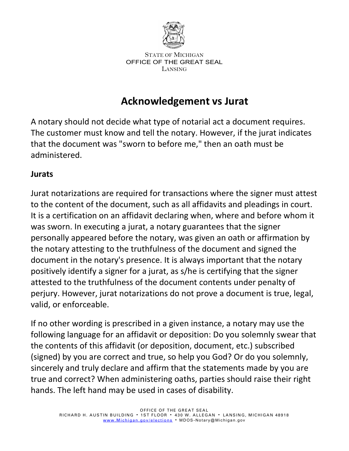

## **Acknowledgement vs Jurat**

A notary should not decide what type of notarial act a document requires. The customer must know and tell the notary. However, if the jurat indicates that the document was "sworn to before me," then an oath must be administered.

## **Jurats**

Jurat notarizations are required for transactions where the signer must attest to the content of the document, such as all affidavits and pleadings in court. It is a certification on an affidavit declaring when, where and before whom it was sworn. In executing a jurat, a notary guarantees that the signer personally appeared before the notary, was given an oath or affirmation by the notary attesting to the truthfulness of the document and signed the document in the notary's presence. It is always important that the notary positively identify a signer for a jurat, as s/he is certifying that the signer attested to the truthfulness of the document contents under penalty of perjury. However, jurat notarizations do not prove a document is true, legal, valid, or enforceable.

If no other wording is prescribed in a given instance, a notary may use the following language for an affidavit or deposition: Do you solemnly swear that the contents of this affidavit (or deposition, document, etc.) subscribed (signed) by you are correct and true, so help you God? Or do you solemnly, sincerely and truly declare and affirm that the statements made by you are true and correct? When administering oaths, parties should raise their right hands. The left hand may be used in cases of disability.